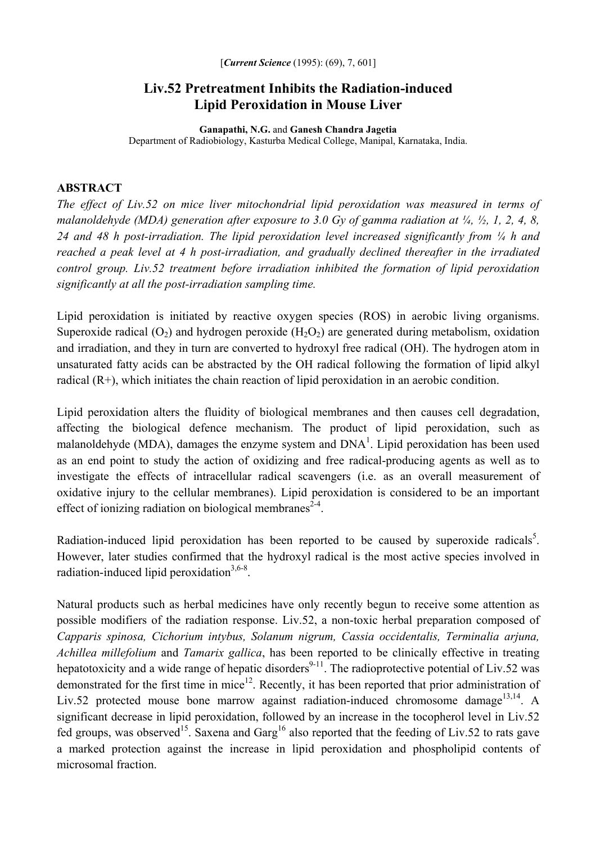## **Liv.52 Pretreatment Inhibits the Radiation-induced Lipid Peroxidation in Mouse Liver**

**Ganapathi, N.G.** and **Ganesh Chandra Jagetia**  Department of Radiobiology, Kasturba Medical College, Manipal, Karnataka, India.

## **ABSTRACT**

*The effect of Liv.52 on mice liver mitochondrial lipid peroxidation was measured in terms of malanoldehyde (MDA) generation after exposure to 3.0 Gy of gamma radiation at ¼, ½, 1, 2, 4, 8, 24 and 48 h post-irradiation. The lipid peroxidation level increased significantly from ¼ h and reached a peak level at 4 h post-irradiation, and gradually declined thereafter in the irradiated control group. Liv.52 treatment before irradiation inhibited the formation of lipid peroxidation significantly at all the post-irradiation sampling time.* 

Lipid peroxidation is initiated by reactive oxygen species (ROS) in aerobic living organisms. Superoxide radical  $(O_2)$  and hydrogen peroxide  $(H_2O_2)$  are generated during metabolism, oxidation and irradiation, and they in turn are converted to hydroxyl free radical (OH). The hydrogen atom in unsaturated fatty acids can be abstracted by the OH radical following the formation of lipid alkyl radical (R+), which initiates the chain reaction of lipid peroxidation in an aerobic condition.

Lipid peroxidation alters the fluidity of biological membranes and then causes cell degradation, affecting the biological defence mechanism. The product of lipid peroxidation, such as malanoldehyde (MDA), damages the enzyme system and  $DNA<sup>1</sup>$ . Lipid peroxidation has been used as an end point to study the action of oxidizing and free radical-producing agents as well as to investigate the effects of intracellular radical scavengers (i.e. as an overall measurement of oxidative injury to the cellular membranes). Lipid peroxidation is considered to be an important effect of ionizing radiation on biological membranes<sup>2-4</sup>.

Radiation-induced lipid peroxidation has been reported to be caused by superoxide radicals<sup>5</sup>. However, later studies confirmed that the hydroxyl radical is the most active species involved in radiation-induced lipid peroxidation $3,6-8$ .

Natural products such as herbal medicines have only recently begun to receive some attention as possible modifiers of the radiation response. Liv.52, a non-toxic herbal preparation composed of *Capparis spinosa, Cichorium intybus, Solanum nigrum, Cassia occidentalis, Terminalia arjuna, Achillea millefolium* and *Tamarix gallica*, has been reported to be clinically effective in treating hepatotoxicity and a wide range of hepatic disorders<sup>9-11</sup>. The radioprotective potential of Liv.52 was demonstrated for the first time in mice<sup>12</sup>. Recently, it has been reported that prior administration of Liv.52 protected mouse bone marrow against radiation-induced chromosome damage<sup>13,14</sup>. A significant decrease in lipid peroxidation, followed by an increase in the tocopherol level in Liv.52 fed groups, was observed<sup>15</sup>. Saxena and Garg<sup>16</sup> also reported that the feeding of Liv.52 to rats gave a marked protection against the increase in lipid peroxidation and phospholipid contents of microsomal fraction.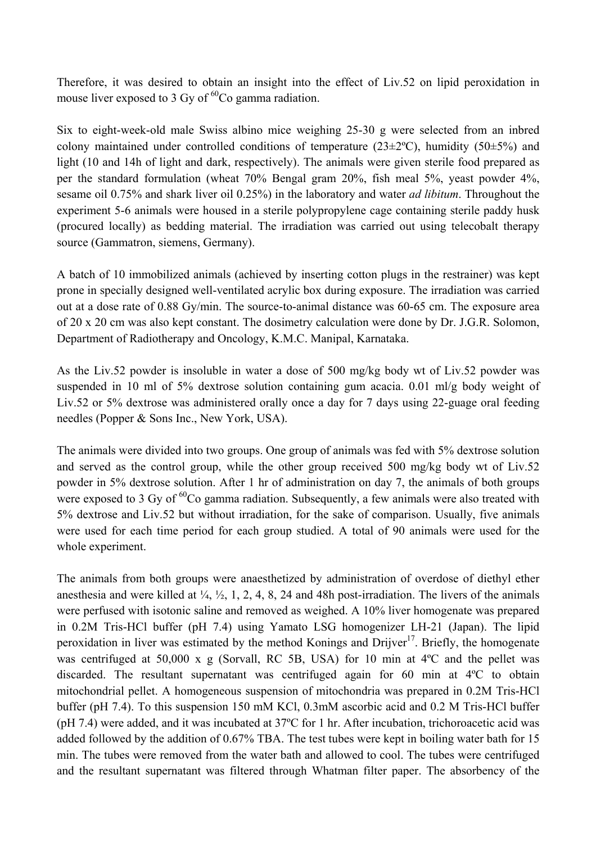Therefore, it was desired to obtain an insight into the effect of Liv.52 on lipid peroxidation in mouse liver exposed to 3 Gy of  ${}^{60}Co$  gamma radiation.

Six to eight-week-old male Swiss albino mice weighing 25-30 g were selected from an inbred colony maintained under controlled conditions of temperature  $(23\pm2^{\circ}C)$ , humidity  $(50\pm5\%)$  and light (10 and 14h of light and dark, respectively). The animals were given sterile food prepared as per the standard formulation (wheat 70% Bengal gram 20%, fish meal 5%, yeast powder 4%, sesame oil 0.75% and shark liver oil 0.25%) in the laboratory and water *ad libitum*. Throughout the experiment 5-6 animals were housed in a sterile polypropylene cage containing sterile paddy husk (procured locally) as bedding material. The irradiation was carried out using telecobalt therapy source (Gammatron, siemens, Germany).

A batch of 10 immobilized animals (achieved by inserting cotton plugs in the restrainer) was kept prone in specially designed well-ventilated acrylic box during exposure. The irradiation was carried out at a dose rate of 0.88 Gy/min. The source-to-animal distance was 60-65 cm. The exposure area of 20 x 20 cm was also kept constant. The dosimetry calculation were done by Dr. J.G.R. Solomon, Department of Radiotherapy and Oncology, K.M.C. Manipal, Karnataka.

As the Liv.52 powder is insoluble in water a dose of 500 mg/kg body wt of Liv.52 powder was suspended in 10 ml of 5% dextrose solution containing gum acacia. 0.01 ml/g body weight of Liv.52 or 5% dextrose was administered orally once a day for 7 days using 22-guage oral feeding needles (Popper & Sons Inc., New York, USA).

The animals were divided into two groups. One group of animals was fed with 5% dextrose solution and served as the control group, while the other group received 500 mg/kg body wt of Liv.52 powder in 5% dextrose solution. After 1 hr of administration on day 7, the animals of both groups were exposed to 3 Gy of  ${}^{60}Co$  gamma radiation. Subsequently, a few animals were also treated with 5% dextrose and Liv.52 but without irradiation, for the sake of comparison. Usually, five animals were used for each time period for each group studied. A total of 90 animals were used for the whole experiment.

The animals from both groups were anaesthetized by administration of overdose of diethyl ether anesthesia and were killed at  $\frac{1}{4}$ ,  $\frac{1}{2}$ , 1, 2, 4, 8, 24 and 48h post-irradiation. The livers of the animals were perfused with isotonic saline and removed as weighed. A 10% liver homogenate was prepared in 0.2M Tris-HCl buffer (pH 7.4) using Yamato LSG homogenizer LH-21 (Japan). The lipid peroxidation in liver was estimated by the method Konings and Drijver<sup>17</sup>. Briefly, the homogenate was centrifuged at 50,000 x g (Sorvall, RC 5B, USA) for 10 min at 4ºC and the pellet was discarded. The resultant supernatant was centrifuged again for 60 min at 4ºC to obtain mitochondrial pellet. A homogeneous suspension of mitochondria was prepared in 0.2M Tris-HCl buffer (pH 7.4). To this suspension 150 mM KCl, 0.3mM ascorbic acid and 0.2 M Tris-HCl buffer (pH 7.4) were added, and it was incubated at 37ºC for 1 hr. After incubation, trichoroacetic acid was added followed by the addition of 0.67% TBA. The test tubes were kept in boiling water bath for 15 min. The tubes were removed from the water bath and allowed to cool. The tubes were centrifuged and the resultant supernatant was filtered through Whatman filter paper. The absorbency of the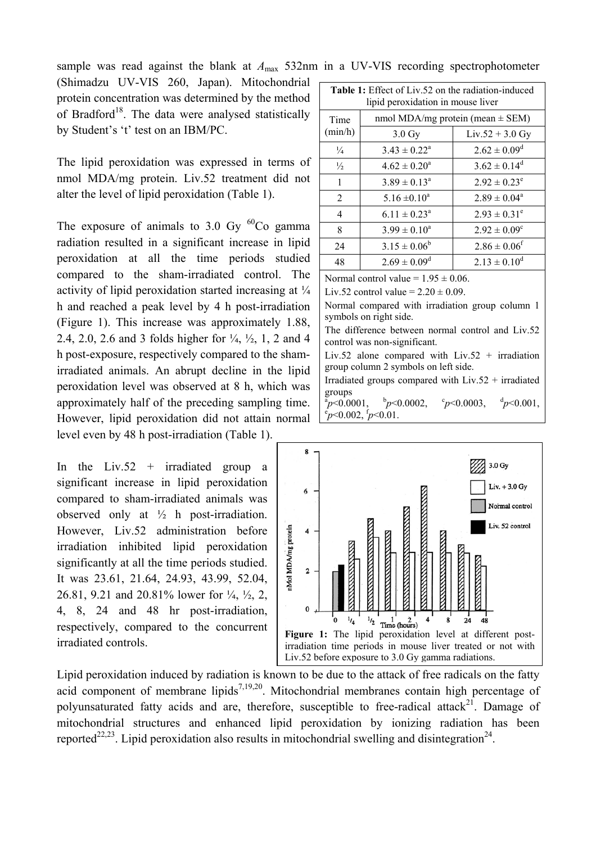sample was read against the blank at  $A_{\text{max}}$  532nm in a UV-VIS recording spectrophotometer

(Shimadzu UV-VIS 260, Japan). Mitochondrial protein concentration was determined by the method of Bradford<sup>18</sup>. The data were analysed statistically by Student's 't' test on an IBM/PC.

The lipid peroxidation was expressed in terms of nmol MDA/mg protein. Liv.52 treatment did not alter the level of lipid peroxidation (Table 1).

The exposure of animals to  $3.0 \text{ Gy}^{60}$ Co gamma radiation resulted in a significant increase in lipid peroxidation at all the time periods studied compared to the sham-irradiated control. The activity of lipid peroxidation started increasing at ¼ h and reached a peak level by 4 h post-irradiation (Figure 1). This increase was approximately 1.88, 2.4, 2.0, 2.6 and 3 folds higher for ¼, ½, 1, 2 and 4 h post-exposure, respectively compared to the shamirradiated animals. An abrupt decline in the lipid peroxidation level was observed at 8 h, which was approximately half of the preceding sampling time. However, lipid peroxidation did not attain normal level even by 48 h post-irradiation (Table 1).

In the Liv.52 + irradiated group a significant increase in lipid peroxidation compared to sham-irradiated animals was observed only at  $\frac{1}{2}$  h post-irradiation. However, Liv.52 administration before irradiation inhibited lipid peroxidation significantly at all the time periods studied. It was 23.61, 21.64, 24.93, 43.99, 52.04, 26.81, 9.21 and 20.81% lower for ¼, ½, 2, 4, 8, 24 and 48 hr post-irradiation, respectively, compared to the concurrent irradiated controls.

| <b>Table 1:</b> Effect of Liv.52 on the radiation-induced<br>lipid peroxidation in mouse liver |                                      |                              |
|------------------------------------------------------------------------------------------------|--------------------------------------|------------------------------|
| Time<br>(min/h)                                                                                | nmol MDA/mg protein (mean $\pm$ SEM) |                              |
|                                                                                                | $3.0 \text{ Gy}$                     | $Liv.52 + 3.0$ Gy            |
| $\frac{1}{4}$                                                                                  | $3.43 \pm 0.22^a$                    | $2.62 \pm 0.09^d$            |
| $\frac{1}{2}$                                                                                  | $4.62 \pm 0.20^a$                    | $3.62 \pm 0.14^d$            |
| 1                                                                                              | $3.89 \pm 0.13^a$                    | $2.92 \pm 0.23^e$            |
| $\overline{2}$                                                                                 | 5.16 $\pm$ 0.10 <sup>a</sup>         | $2.89 \pm 0.04^a$            |
| 4                                                                                              | $6.11 \pm 0.23^a$                    | $2.93 \pm 0.31^e$            |
| 8                                                                                              | $3.99 \pm 0.10^a$                    | $2.92 \pm 0.09^c$            |
| 24                                                                                             | $3.15 \pm 0.06^b$                    | $2.86 \pm 0.06$ <sup>f</sup> |
| 48                                                                                             | $2.69 \pm 0.09^d$                    | $2.13 \pm 0.10^d$            |

Normal control value =  $1.95 \pm 0.06$ .

Liv.52 control value =  $2.20 \pm 0.09$ .

Normal compared with irradiation group column 1 symbols on right side.

The difference between normal control and Liv.52 control was non-significant.

Liv.52 alone compared with Liv.52 + irradiation group column 2 symbols on left side.

Irradiated groups compared with  $Liv.52 + irradiated$ groups

 $a_p$  < 0.0001, b  $^{b}p<0.0002$ ,  ${}^{c}p<0.0003$ ,  ${}^{d}p<0.001$ ,  ${}^{a}_{p}$  < 0.0001,  ${}^{b}_{p}$  < 0.0002,  ${}^{c}_{p}$  < 0.0003,  ${}^{d}_{p}$  < 0.001,  ${}^{c}_{p}$  < 0.002,  ${}^{f}_{p}$  < 0.01.



Lipid peroxidation induced by radiation is known to be due to the attack of free radicals on the fatty acid component of membrane lipids<sup>7,19,20</sup>. Mitochondrial membranes contain high percentage of polyunsaturated fatty acids and are, therefore, susceptible to free-radical attack<sup>21</sup>. Damage of mitochondrial structures and enhanced lipid peroxidation by ionizing radiation has been reported<sup>22,23</sup>. Lipid peroxidation also results in mitochondrial swelling and disintegration<sup>24</sup>.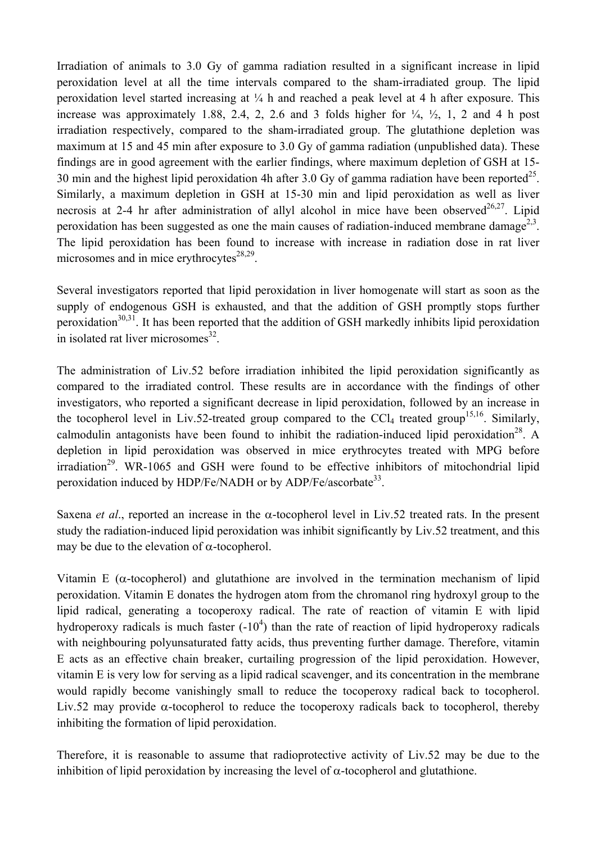Irradiation of animals to 3.0 Gy of gamma radiation resulted in a significant increase in lipid peroxidation level at all the time intervals compared to the sham-irradiated group. The lipid peroxidation level started increasing at ¼ h and reached a peak level at 4 h after exposure. This increase was approximately 1.88, 2.4, 2, 2.6 and 3 folds higher for  $\frac{1}{4}$ ,  $\frac{1}{2}$ , 1, 2 and 4 h post irradiation respectively, compared to the sham-irradiated group. The glutathione depletion was maximum at 15 and 45 min after exposure to 3.0 Gy of gamma radiation (unpublished data). These findings are in good agreement with the earlier findings, where maximum depletion of GSH at 15- 30 min and the highest lipid peroxidation 4h after 3.0 Gy of gamma radiation have been reported<sup>25</sup>. Similarly, a maximum depletion in GSH at 15-30 min and lipid peroxidation as well as liver necrosis at 2-4 hr after administration of allyl alcohol in mice have been observed<sup>26,27</sup>. Lipid peroxidation has been suggested as one the main causes of radiation-induced membrane damage<sup>2,3</sup>. The lipid peroxidation has been found to increase with increase in radiation dose in rat liver microsomes and in mice erythrocytes $28,29$ .

Several investigators reported that lipid peroxidation in liver homogenate will start as soon as the supply of endogenous GSH is exhausted, and that the addition of GSH promptly stops further peroxidation<sup>30,31</sup>. It has been reported that the addition of GSH markedly inhibits lipid peroxidation in isolated rat liver microsomes $^{32}$ .

The administration of Liv.52 before irradiation inhibited the lipid peroxidation significantly as compared to the irradiated control. These results are in accordance with the findings of other investigators, who reported a significant decrease in lipid peroxidation, followed by an increase in the tocopherol level in Liv.52-treated group compared to the CCl<sub>4</sub> treated group<sup>15,16</sup>. Similarly, calmodulin antagonists have been found to inhibit the radiation-induced lipid peroxidation<sup>28</sup>. A depletion in lipid peroxidation was observed in mice erythrocytes treated with MPG before  $irradiation<sup>29</sup>$ . WR-1065 and GSH were found to be effective inhibitors of mitochondrial lipid peroxidation induced by HDP/Fe/NADH or by ADP/Fe/ascorbate<sup>33</sup>.

Saxena *et al*., reported an increase in the α-tocopherol level in Liv.52 treated rats. In the present study the radiation-induced lipid peroxidation was inhibit significantly by Liv.52 treatment, and this may be due to the elevation of  $\alpha$ -tocopherol.

Vitamin E ( $\alpha$ -tocopherol) and glutathione are involved in the termination mechanism of lipid peroxidation. Vitamin E donates the hydrogen atom from the chromanol ring hydroxyl group to the lipid radical, generating a tocoperoxy radical. The rate of reaction of vitamin E with lipid hydroperoxy radicals is much faster  $(-10<sup>4</sup>)$  than the rate of reaction of lipid hydroperoxy radicals with neighbouring polyunsaturated fatty acids, thus preventing further damage. Therefore, vitamin E acts as an effective chain breaker, curtailing progression of the lipid peroxidation. However, vitamin E is very low for serving as a lipid radical scavenger, and its concentration in the membrane would rapidly become vanishingly small to reduce the tocoperoxy radical back to tocopherol. Liv.52 may provide α-tocopherol to reduce the tocoperoxy radicals back to tocopherol, thereby inhibiting the formation of lipid peroxidation.

Therefore, it is reasonable to assume that radioprotective activity of Liv.52 may be due to the inhibition of lipid peroxidation by increasing the level of  $\alpha$ -tocopherol and glutathione.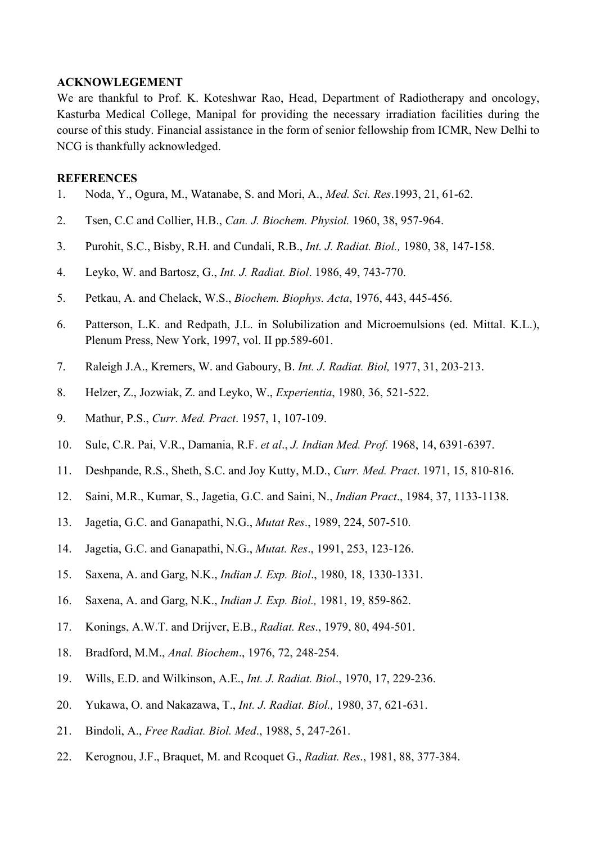## **ACKNOWLEGEMENT**

We are thankful to Prof. K. Koteshwar Rao, Head, Department of Radiotherapy and oncology, Kasturba Medical College, Manipal for providing the necessary irradiation facilities during the course of this study. Financial assistance in the form of senior fellowship from ICMR, New Delhi to NCG is thankfully acknowledged.

## **REFERENCES**

- 1. Noda, Y., Ogura, M., Watanabe, S. and Mori, A., *Med. Sci. Res*.1993, 21, 61-62.
- 2. Tsen, C.C and Collier, H.B., *Can. J. Biochem. Physiol.* 1960, 38, 957-964.
- 3. Purohit, S.C., Bisby, R.H. and Cundali, R.B., *Int. J. Radiat. Biol.,* 1980, 38, 147-158.
- 4. Leyko, W. and Bartosz, G., *Int. J. Radiat. Biol*. 1986, 49, 743-770.
- 5. Petkau, A. and Chelack, W.S., *Biochem. Biophys. Acta*, 1976, 443, 445-456.
- 6. Patterson, L.K. and Redpath, J.L. in Solubilization and Microemulsions (ed. Mittal. K.L.), Plenum Press, New York, 1997, vol. II pp.589-601.
- 7. Raleigh J.A., Kremers, W. and Gaboury, B. *Int. J. Radiat. Biol,* 1977, 31, 203-213.
- 8. Helzer, Z., Jozwiak, Z. and Leyko, W., *Experientia*, 1980, 36, 521-522.
- 9. Mathur, P.S., *Curr. Med. Pract*. 1957, 1, 107-109.
- 10. Sule, C.R. Pai, V.R., Damania, R.F. *et al*., *J. Indian Med. Prof.* 1968, 14, 6391-6397.
- 11. Deshpande, R.S., Sheth, S.C. and Joy Kutty, M.D., *Curr. Med. Pract*. 1971, 15, 810-816.
- 12. Saini, M.R., Kumar, S., Jagetia, G.C. and Saini, N., *Indian Pract*., 1984, 37, 1133-1138.
- 13. Jagetia, G.C. and Ganapathi, N.G., *Mutat Res*., 1989, 224, 507-510.
- 14. Jagetia, G.C. and Ganapathi, N.G., *Mutat. Res*., 1991, 253, 123-126.
- 15. Saxena, A. and Garg, N.K., *Indian J. Exp. Biol*., 1980, 18, 1330-1331.
- 16. Saxena, A. and Garg, N.K., *Indian J. Exp. Biol.,* 1981, 19, 859-862.
- 17. Konings, A.W.T. and Drijver, E.B., *Radiat. Res*., 1979, 80, 494-501.
- 18. Bradford, M.M., *Anal. Biochem*., 1976, 72, 248-254.
- 19. Wills, E.D. and Wilkinson, A.E., *Int. J. Radiat. Biol*., 1970, 17, 229-236.
- 20. Yukawa, O. and Nakazawa, T., *Int. J. Radiat. Biol.,* 1980, 37, 621-631.
- 21. Bindoli, A., *Free Radiat. Biol. Med*., 1988, 5, 247-261.
- 22. Kerognou, J.F., Braquet, M. and Rcoquet G., *Radiat. Res*., 1981, 88, 377-384.